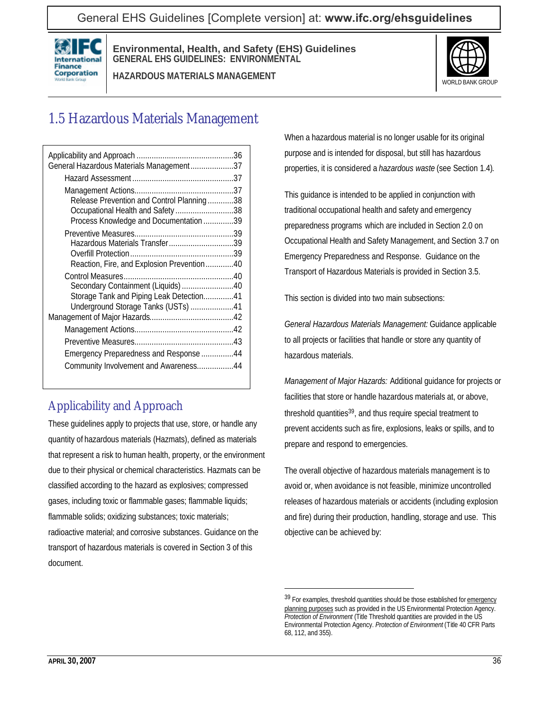General EHS Guidelines [Complete version] at: **[www.ifc.org/ehsguidelines](http://www.ifc.org/ehsguidelines)**



**Environmental, Health, and Safety (EHS) Guidelines GENERAL EHS GUIDELINES: ENVIRONMENTAL**

**HAZARDOUS MATERIALS MANAGEMENT**



# 1.5 Hazardous Materials Management

| General Hazardous Materials Management37   |  |
|--------------------------------------------|--|
|                                            |  |
|                                            |  |
| Release Prevention and Control Planning38  |  |
| Occupational Health and Safety 38          |  |
| Process Knowledge and Documentation 39     |  |
|                                            |  |
| Hazardous Materials Transfer39             |  |
|                                            |  |
| Reaction, Fire, and Explosion Prevention40 |  |
|                                            |  |
| Secondary Containment (Liquids) 40         |  |
| Storage Tank and Piping Leak Detection41   |  |
| Underground Storage Tanks (USTs) 41        |  |
|                                            |  |
|                                            |  |
|                                            |  |
| Emergency Preparedness and Response 44     |  |
| Community Involvement and Awareness44      |  |
|                                            |  |

# Applicability and Approach

These guidelines apply to projects that use, store, or handle any quantity of hazardous materials (Hazmats), defined as materials that represent a risk to human health, property, or the environment due to their physical or chemical characteristics. Hazmats can be classified according to the hazard as explosives; compressed gases, including toxic or flammable gases; flammable liquids; flammable solids; oxidizing substances; toxic materials; radioactive material; and corrosive substances. Guidance on the transport of hazardous materials is covered in Section 3 of this document.

When a hazardous material is no longer usable for its original purpose and is intended for disposal, but still has hazardous properties, it is considered a *hazardous waste* (see Section 1.4).

This guidance is intended to be applied in conjunction with traditional occupational health and safety and emergency preparedness programs which are included in Section 2.0 on Occupational Health and Safety Management, and Section 3.7 on Emergency Preparedness and Response. Guidance on the Transport of Hazardous Materials is provided in Section 3.5.

This section is divided into two main subsections:

*General Hazardous Materials Management:* Guidance applicable to all projects or facilities that handle or store any quantity of hazardous materials.

*Management of Major Hazards:* Additional guidance for projects or facilities that store or handle hazardous materials at, or above, threshold quantities39, and thus require special treatment to prevent accidents such as fire, explosions, leaks or spills, and to prepare and respond to emergencies.

The overall objective of hazardous materials management is to avoid or, when avoidance is not feasible, minimize uncontrolled releases of hazardous materials or accidents (including explosion and fire) during their production, handling, storage and use. This objective can be achieved by:

<sup>39</sup> For examples, threshold quantities should be those established for emergency planning purposes such as provided in the US Environmental Protection Agency. *Protection of Environment* (Title Threshold quantities are provided in the US Environmental Protection Agency. *Protection of Environment* (Title 40 CFR Parts 68, 112, and 355).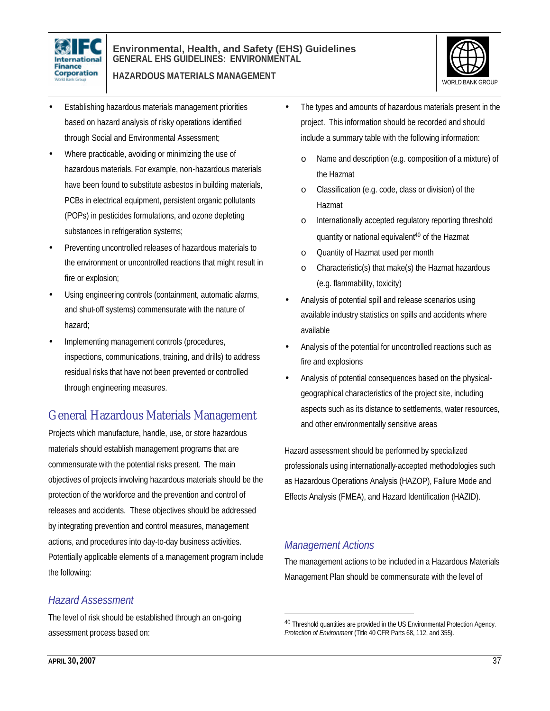

#### **Environmental, Health, and Safety (EHS) Guidelines GENERAL EHS GUIDELINES: ENVIRONMENTAL**

**HAZARDOUS MATERIALS MANAGEMENT**



- Establishing hazardous materials management priorities based on hazard analysis of risky operations identified through Social and Environmental Assessment;
- Where practicable, avoiding or minimizing the use of hazardous materials. For example, non-hazardous materials have been found to substitute asbestos in building materials, PCBs in electrical equipment, persistent organic pollutants (POPs) in pesticides formulations, and ozone depleting substances in refrigeration systems;
- Preventing uncontrolled releases of hazardous materials to the environment or uncontrolled reactions that might result in fire or explosion;
- Using engineering controls (containment, automatic alarms, and shut-off systems) commensurate with the nature of hazard;
- Implementing management controls (procedures, inspections, communications, training, and drills) to address residual risks that have not been prevented or controlled through engineering measures.

# General Hazardous Materials Management

Projects which manufacture, handle, use, or store hazardous materials should establish management programs that are commensurate with the potential risks present. The main objectives of projects involving hazardous materials should be the protection of the workforce and the prevention and control of releases and accidents. These objectives should be addressed by integrating prevention and control measures, management actions, and procedures into day-to-day business activities. Potentially applicable elements of a management program include the following:

### *Hazard Assessment*

The level of risk should be established through an on-going assessment process based on:

- The types and amounts of hazardous materials present in the project. This information should be recorded and should include a summary table with the following information:
	- o Name and description (e.g. composition of a mixture) of the Hazmat
	- o Classification (e.g. code, class or division) of the Hazmat
	- o Internationally accepted regulatory reporting threshold quantity or national equivalent<sup>40</sup> of the Hazmat
	- o Quantity of Hazmat used per month
	- o Characteristic(s) that make(s) the Hazmat hazardous (e.g. flammability, toxicity)
- Analysis of potential spill and release scenarios using available industry statistics on spills and accidents where available
- Analysis of the potential for uncontrolled reactions such as fire and explosions
- Analysis of potential consequences based on the physicalgeographical characteristics of the project site, including aspects such as its distance to settlements, water resources, and other environmentally sensitive areas

Hazard assessment should be performed by specialized professionals using internationally-accepted methodologies such as Hazardous Operations Analysis (HAZOP), Failure Mode and Effects Analysis (FMEA), and Hazard Identification (HAZID).

# *Management Actions*

 $\overline{a}$ 

The management actions to be included in a Hazardous Materials Management Plan should be commensurate with the level of

<sup>40</sup> Threshold quantities are provided in the US Environmental Protection Agency. *Protection of Environment* (Title 40 CFR Parts 68, 112, and 355).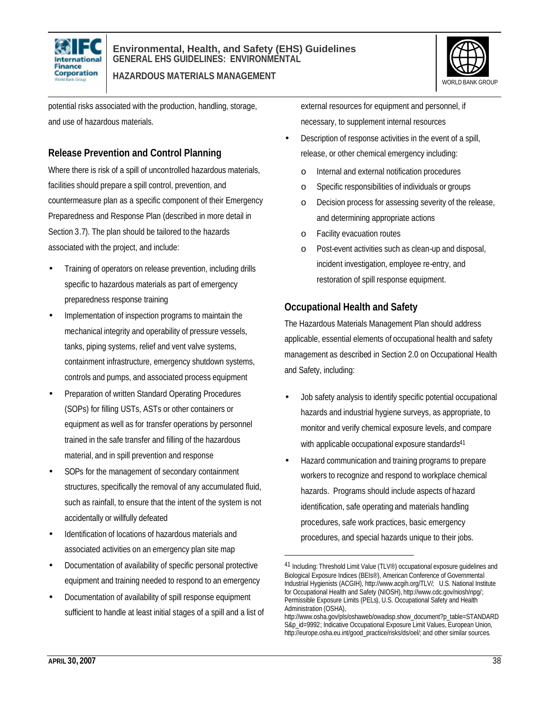



potential risks associated with the production, handling, storage, and use of hazardous materials.

### **Release Prevention and Control Planning**

Where there is risk of a spill of uncontrolled hazardous materials, facilities should prepare a spill control, prevention, and countermeasure plan as a specific component of their Emergency Preparedness and Response Plan (described in more detail in Section 3.7). The plan should be tailored to the hazards associated with the project, and include:

- Training of operators on release prevention, including drills specific to hazardous materials as part of emergency preparedness response training
- Implementation of inspection programs to maintain the mechanical integrity and operability of pressure vessels, tanks, piping systems, relief and vent valve systems, containment infrastructure, emergency shutdown systems, controls and pumps, and associated process equipment
- Preparation of written Standard Operating Procedures (SOPs) for filling USTs, ASTs or other containers or equipment as well as for transfer operations by personnel trained in the safe transfer and filling of the hazardous material, and in spill prevention and response
- SOPs for the management of secondary containment structures, specifically the removal of any accumulated fluid, such as rainfall, to ensure that the intent of the system is not accidentally or willfully defeated
- Identification of locations of hazardous materials and associated activities on an emergency plan site map
- Documentation of availability of specific personal protective equipment and training needed to respond to an emergency
- Documentation of availability of spill response equipment sufficient to handle at least initial stages of a spill and a list of

external resources for equipment and personnel, if necessary, to supplement internal resources

- Description of response activities in the event of a spill, release, or other chemical emergency including:
	- o Internal and external notification procedures
	- o Specific responsibilities of individuals or groups
	- o Decision process for assessing severity of the release, and determining appropriate actions
	- o Facility evacuation routes
	- o Post-event activities such as clean-up and disposal, incident investigation, employee re-entry, and restoration of spill response equipment.

#### **Occupational Health and Safety**

The Hazardous Materials Management Plan should address applicable, essential elements of occupational health and safety management as described in Section 2.0 on Occupational Health and Safety, including:

- Job safety analysis to identify specific potential occupational hazards and industrial hygiene surveys, as appropriate, to monitor and verify chemical exposure levels, and compare with applicable occupational exposure standards<sup>41</sup>
- Hazard communication and training programs to prepare workers to recognize and respond to workplace chemical hazards. Programs should include aspects of hazard identification, safe operating and materials handling procedures, safe work practices, basic emergency procedures, and special hazards unique to their jobs.

<sup>&</sup>lt;sup>41</sup> Including: Threshold Limit Value (TLV<sup>®</sup>) occupational exposure quidelines and Biological Exposure Indices (BEIs®), American Conference of Governmental Industrial Hygienists (ACGIH), http://www.acgih.org/TLV/; U.S. National Institute for Occupational Health and Safety (NIOSH), http://www.cdc.gov/niosh/npg/; Permissible Exposure Limits (PELs), U.S. Occupational Safety and Health Administration (OSHA),

http://www.osha.gov/pls/oshaweb/owadisp.show\_document?p\_table=STANDARD S&p\_id=9992; Indicative Occupational Exposure Limit Values, European Union, http://europe.osha.eu.int/good\_practice/risks/ds/oel/; and other similar sources.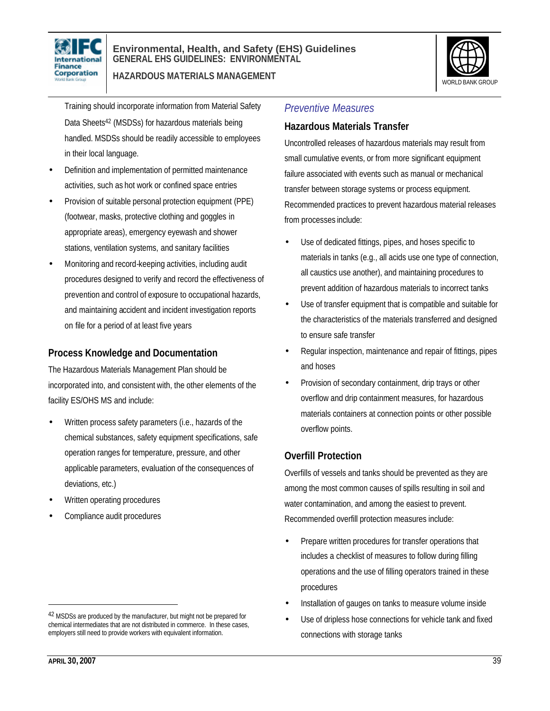



Training should incorporate information from Material Safety Data Sheets<sup>42</sup> (MSDSs) for hazardous materials being handled. MSDSs should be readily accessible to employees in their local language.

- Definition and implementation of permitted maintenance activities, such as hot work or confined space entries
- Provision of suitable personal protection equipment (PPE) (footwear, masks, protective clothing and goggles in appropriate areas), emergency eyewash and shower stations, ventilation systems, and sanitary facilities
- Monitoring and record-keeping activities, including audit procedures designed to verify and record the effectiveness of prevention and control of exposure to occupational hazards, and maintaining accident and incident investigation reports on file for a period of at least five years

#### **Process Knowledge and Documentation**

The Hazardous Materials Management Plan should be incorporated into, and consistent with, the other elements of the facility ES/OHS MS and include:

- Written process safety parameters (i.e., hazards of the chemical substances, safety equipment specifications, safe operation ranges for temperature, pressure, and other applicable parameters, evaluation of the consequences of deviations, etc.)
- Written operating procedures
- Compliance audit procedures

#### *Preventive Measures*

#### **Hazardous Materials Transfer**

Uncontrolled releases of hazardous materials may result from small cumulative events, or from more significant equipment failure associated with events such as manual or mechanical transfer between storage systems or process equipment. Recommended practices to prevent hazardous material releases from processes include:

- Use of dedicated fittings, pipes, and hoses specific to materials in tanks (e.g., all acids use one type of connection, all caustics use another), and maintaining procedures to prevent addition of hazardous materials to incorrect tanks
- Use of transfer equipment that is compatible and suitable for the characteristics of the materials transferred and designed to ensure safe transfer
- Regular inspection, maintenance and repair of fittings, pipes and hoses
- Provision of secondary containment, drip trays or other overflow and drip containment measures, for hazardous materials containers at connection points or other possible overflow points.

#### **Overfill Protection**

Overfills of vessels and tanks should be prevented as they are among the most common causes of spills resulting in soil and water contamination, and among the easiest to prevent. Recommended overfill protection measures include:

- Prepare written procedures for transfer operations that includes a checklist of measures to follow during filling operations and the use of filling operators trained in these procedures
- Installation of gauges on tanks to measure volume inside
- Use of dripless hose connections for vehicle tank and fixed connections with storage tanks

<sup>42</sup> MSDSs are produced by the manufacturer, but might not be prepared for chemical intermediates that are not distributed in commerce. In these cases, employers still need to provide workers with equivalent information.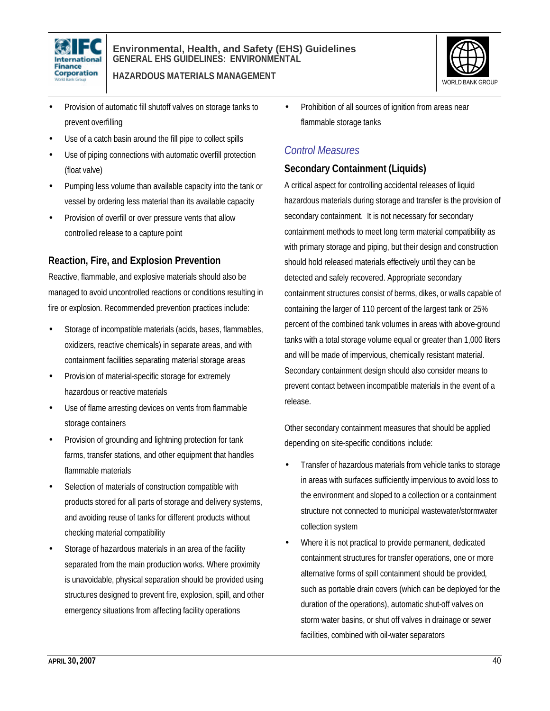



- Provision of automatic fill shutoff valves on storage tanks to prevent overfilling
- Use of a catch basin around the fill pipe to collect spills
- Use of piping connections with automatic overfill protection (float valve)
- Pumping less volume than available capacity into the tank or vessel by ordering less material than its available capacity
- Provision of overfill or over pressure vents that allow controlled release to a capture point

#### **Reaction, Fire, and Explosion Prevention**

Reactive, flammable, and explosive materials should also be managed to avoid uncontrolled reactions or conditions resulting in fire or explosion. Recommended prevention practices include:

- Storage of incompatible materials (acids, bases, flammables, oxidizers, reactive chemicals) in separate areas, and with containment facilities separating material storage areas
- Provision of material-specific storage for extremely hazardous or reactive materials
- Use of flame arresting devices on vents from flammable storage containers
- Provision of grounding and lightning protection for tank farms, transfer stations, and other equipment that handles flammable materials
- Selection of materials of construction compatible with products stored for all parts of storage and delivery systems, and avoiding reuse of tanks for different products without checking material compatibility
- Storage of hazardous materials in an area of the facility separated from the main production works. Where proximity is unavoidable, physical separation should be provided using structures designed to prevent fire, explosion, spill, and other emergency situations from affecting facility operations

• Prohibition of all sources of ignition from areas near flammable storage tanks

### *Control Measures*

#### **Secondary Containment (Liquids)**

A critical aspect for controlling accidental releases of liquid hazardous materials during storage and transfer is the provision of secondary containment. It is not necessary for secondary containment methods to meet long term material compatibility as with primary storage and piping, but their design and construction should hold released materials effectively until they can be detected and safely recovered. Appropriate secondary containment structures consist of berms, dikes, or walls capable of containing the larger of 110 percent of the largest tank or 25% percent of the combined tank volumes in areas with above-ground tanks with a total storage volume equal or greater than 1,000 liters and will be made of impervious, chemically resistant material. Secondary containment design should also consider means to prevent contact between incompatible materials in the event of a release.

Other secondary containment measures that should be applied depending on site-specific conditions include:

- Transfer of hazardous materials from vehicle tanks to storage in areas with surfaces sufficiently impervious to avoid loss to the environment and sloped to a collection or a containment structure not connected to municipal wastewater/stormwater collection system
- Where it is not practical to provide permanent, dedicated containment structures for transfer operations, one or more alternative forms of spill containment should be provided, such as portable drain covers (which can be deployed for the duration of the operations), automatic shut-off valves on storm water basins, or shut off valves in drainage or sewer facilities, combined with oil-water separators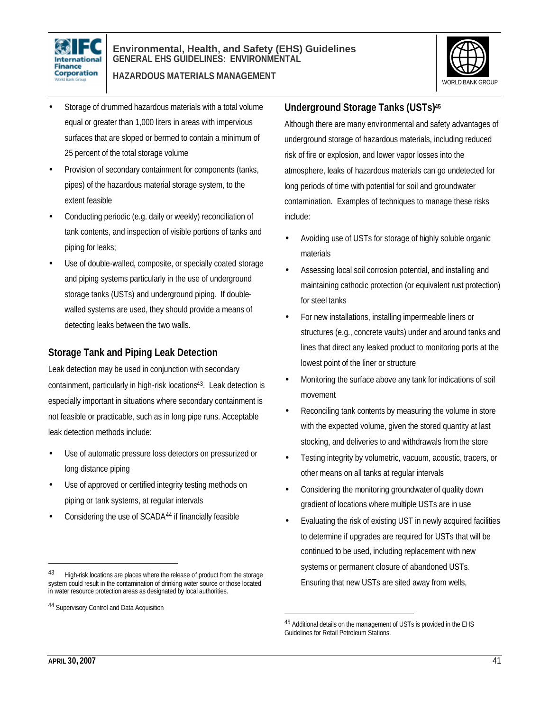



- Storage of drummed hazardous materials with a total volume equal or greater than 1,000 liters in areas with impervious surfaces that are sloped or bermed to contain a minimum of 25 percent of the total storage volume
- Provision of secondary containment for components (tanks, pipes) of the hazardous material storage system, to the extent feasible
- Conducting periodic (e.g. daily or weekly) reconciliation of tank contents, and inspection of visible portions of tanks and piping for leaks;
- Use of double-walled, composite, or specially coated storage and piping systems particularly in the use of underground storage tanks (USTs) and underground piping. If doublewalled systems are used, they should provide a means of detecting leaks between the two walls.

#### **Storage Tank and Piping Leak Detection**

Leak detection may be used in conjunction with secondary containment, particularly in high-risk locations<sup>43</sup>. Leak detection is especially important in situations where secondary containment is not feasible or practicable, such as in long pipe runs. Acceptable leak detection methods include:

- Use of automatic pressure loss detectors on pressurized or long distance piping
- Use of approved or certified integrity testing methods on piping or tank systems, at regular intervals
- Considering the use of SCADA<sup>44</sup> if financially feasible

#### **Underground Storage Tanks (USTs)<sup>45</sup>**

Although there are many environmental and safety advantages of underground storage of hazardous materials, including reduced risk of fire or explosion, and lower vapor losses into the atmosphere, leaks of hazardous materials can go undetected for long periods of time with potential for soil and groundwater contamination. Examples of techniques to manage these risks include:

- Avoiding use of USTs for storage of highly soluble organic materials
- Assessing local soil corrosion potential, and installing and maintaining cathodic protection (or equivalent rust protection) for steel tanks
- For new installations, installing impermeable liners or structures (e.g., concrete vaults) under and around tanks and lines that direct any leaked product to monitoring ports at the lowest point of the liner or structure
- Monitoring the surface above any tank for indications of soil movement
- Reconciling tank contents by measuring the volume in store with the expected volume, given the stored quantity at last stocking, and deliveries to and withdrawals from the store
- Testing integrity by volumetric, vacuum, acoustic, tracers, or other means on all tanks at regular intervals
- Considering the monitoring groundwater of quality down gradient of locations where multiple USTs are in use
- Evaluating the risk of existing UST in newly acquired facilities to determine if upgrades are required for USTs that will be continued to be used, including replacement with new systems or permanent closure of abandoned USTs. Ensuring that new USTs are sited away from wells,

 $\overline{a}$ 

l

High-risk locations are places where the release of product from the storage system could result in the contamination of drinking water source or those located in water resource protection areas as designated by local authorities.

<sup>44</sup> Supervisory Control and Data Acquisition

<sup>45</sup> Additional details on the management of USTs is provided in the EHS Guidelines for Retail Petroleum Stations.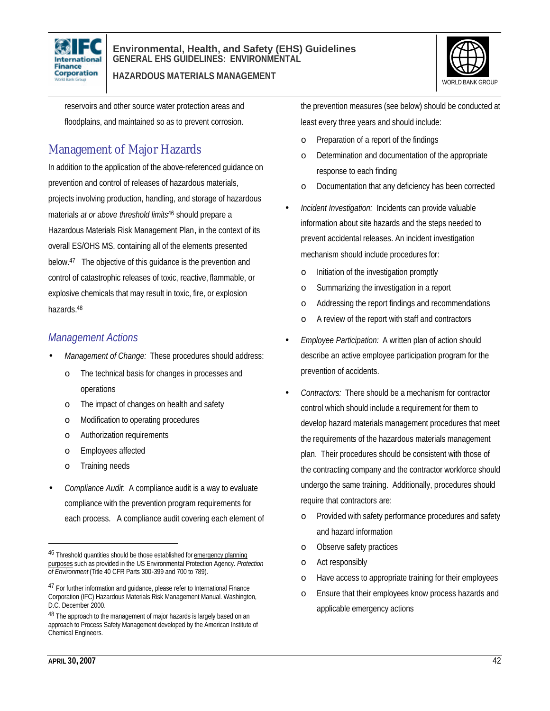

#### **Environmental, Health, and Safety (EHS) Guidelines GENERAL EHS GUIDELINES: ENVIRONMENTAL**

**HAZARDOUS MATERIALS MANAGEMENT**



reservoirs and other source water protection areas and floodplains, and maintained so as to prevent corrosion.

# Management of Major Hazards

In addition to the application of the above-referenced guidance on prevention and control of releases of hazardous materials, projects involving production, handling, and storage of hazardous materials *at or above threshold limits*<sup>46</sup> should prepare a Hazardous Materials Risk Management Plan, in the context of its overall ES/OHS MS, containing all of the elements presented below.<sup>47</sup> The objective of this guidance is the prevention and control of catastrophic releases of toxic, reactive, flammable, or explosive chemicals that may result in toxic, fire, or explosion hazards.<sup>48</sup>

### *Management Actions*

- *Management of Change:* These procedures should address:
	- o The technical basis for changes in processes and operations
	- o The impact of changes on health and safety
	- o Modification to operating procedures
	- o Authorization requirements
	- o Employees affected
	- o Training needs
- *Compliance Audit*: A compliance audit is a way to evaluate compliance with the prevention program requirements for each process. A compliance audit covering each element of

the prevention measures (see below) should be conducted at least every three years and should include:

- o Preparation of a report of the findings
- o Determination and documentation of the appropriate response to each finding
- Documentation that any deficiency has been corrected
- *Incident Investigation:* Incidents can provide valuable information about site hazards and the steps needed to prevent accidental releases. An incident investigation mechanism should include procedures for:
	- o Initiation of the investigation promptly
	- o Summarizing the investigation in a report
	- o Addressing the report findings and recommendations
	- o A review of the report with staff and contractors
- *Employee Participation:* A written plan of action should describe an active employee participation program for the prevention of accidents.
- *Contractors:* There should be a mechanism for contractor control which should include a requirement for them to develop hazard materials management procedures that meet the requirements of the hazardous materials management plan. Their procedures should be consistent with those of the contracting company and the contractor workforce should undergo the same training. Additionally, procedures should require that contractors are:
	- Provided with safety performance procedures and safety and hazard information
	- o Observe safety practices
	- o Act responsibly
	- o Have access to appropriate training for their employees
	- o Ensure that their employees know process hazards and applicable emergency actions

<sup>&</sup>lt;sup>46</sup> Threshold quantities should be those established for emergency planning purposes such as provided in the US Environmental Protection Agency. *Protection of Environment* (Title 40 CFR Parts 300-399 and 700 to 789).

<sup>&</sup>lt;sup>47</sup> For further information and quidance, please refer to International Finance Corporation (IFC) Hazardous Materials Risk Management Manual. Washington, D.C. December 2000.

<sup>48</sup> The approach to the management of major hazards is largely based on an approach to Process Safety Management developed by the American Institute of Chemical Engineers.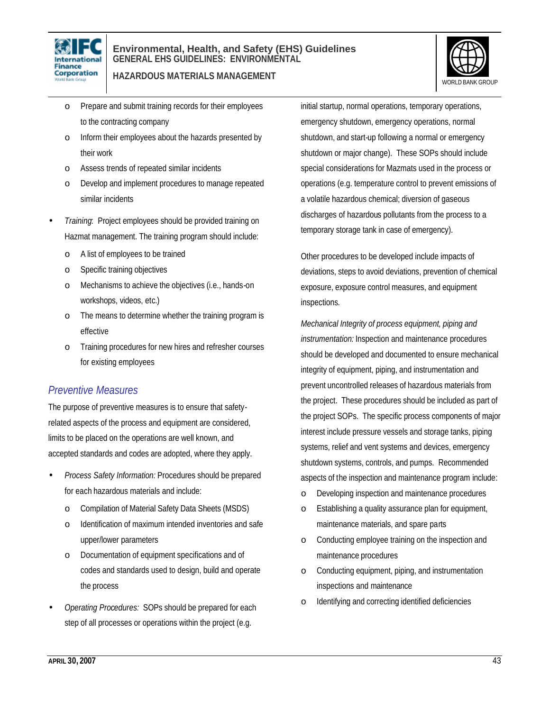



- o Prepare and submit training records for their employees to the contracting company
- o Inform their employees about the hazards presented by their work
- o Assess trends of repeated similar incidents
- o Develop and implement procedures to manage repeated similar incidents
- *Training*: Project employees should be provided training on Hazmat management. The training program should include:
	- o A list of employees to be trained
	- o Specific training objectives
	- o Mechanisms to achieve the objectives (i.e., hands-on workshops, videos, etc.)
	- o The means to determine whether the training program is effective
	- o Training procedures for new hires and refresher courses for existing employees

#### *Preventive Measures*

The purpose of preventive measures is to ensure that safetyrelated aspects of the process and equipment are considered, limits to be placed on the operations are well known, and accepted standards and codes are adopted, where they apply.

- *Process Safety Information:* Procedures should be prepared for each hazardous materials and include:
	- o Compilation of Material Safety Data Sheets (MSDS)
	- o Identification of maximum intended inventories and safe upper/lower parameters
	- o Documentation of equipment specifications and of codes and standards used to design, build and operate the process
- *Operating Procedures:* SOPs should be prepared for each step of all processes or operations within the project (e.g.

initial startup, normal operations, temporary operations, emergency shutdown, emergency operations, normal shutdown, and start-up following a normal or emergency shutdown or major change). These SOPs should include special considerations for Mazmats used in the process or operations (e.g. temperature control to prevent emissions of a volatile hazardous chemical; diversion of gaseous discharges of hazardous pollutants from the process to a temporary storage tank in case of emergency).

Other procedures to be developed include impacts of deviations, steps to avoid deviations, prevention of chemical exposure, exposure control measures, and equipment inspections.

*Mechanical Integrity of process equipment, piping and instrumentation:* Inspection and maintenance procedures should be developed and documented to ensure mechanical integrity of equipment, piping, and instrumentation and prevent uncontrolled releases of hazardous materials from the project. These procedures should be included as part of the project SOPs. The specific process components of major interest include pressure vessels and storage tanks, piping systems, relief and vent systems and devices, emergency shutdown systems, controls, and pumps. Recommended aspects of the inspection and maintenance program include:

- o Developing inspection and maintenance procedures
- o Establishing a quality assurance plan for equipment, maintenance materials, and spare parts
- o Conducting employee training on the inspection and maintenance procedures
- o Conducting equipment, piping, and instrumentation inspections and maintenance
- o Identifying and correcting identified deficiencies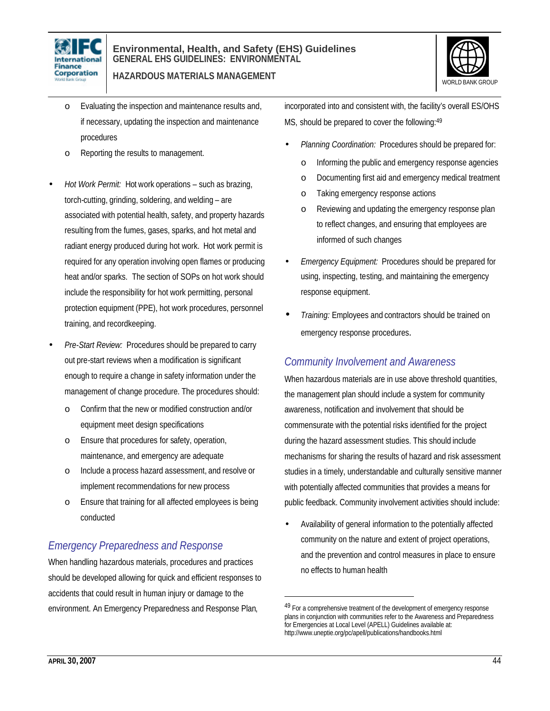



- o Evaluating the inspection and maintenance results and, if necessary, updating the inspection and maintenance procedures
- o Reporting the results to management.
- *Hot Work Permit:* Hot work operations such as brazing, torch-cutting, grinding, soldering, and welding – are associated with potential health, safety, and property hazards resulting from the fumes, gases, sparks, and hot metal and radiant energy produced during hot work. Hot work permit is required for any operation involving open flames or producing heat and/or sparks. The section of SOPs on hot work should include the responsibility for hot work permitting, personal protection equipment (PPE), hot work procedures, personnel training, and recordkeeping.
- *Pre-Start Review:* Procedures should be prepared to carry out pre-start reviews when a modification is significant enough to require a change in safety information under the management of change procedure. The procedures should:
	- o Confirm that the new or modified construction and/or equipment meet design specifications
	- o Ensure that procedures for safety, operation, maintenance, and emergency are adequate
	- o Include a process hazard assessment, and resolve or implement recommendations for new process
	- o Ensure that training for all affected employees is being conducted

### *Emergency Preparedness and Response*

When handling hazardous materials, procedures and practices should be developed allowing for quick and efficient responses to accidents that could result in human injury or damage to the environment. An Emergency Preparedness and Response Plan,

incorporated into and consistent with, the facility's overall ES/OHS MS, should be prepared to cover the following:<sup>49</sup>

- *Planning Coordination:* Procedures should be prepared for:
	- o Informing the public and emergency response agencies
	- o Documenting first aid and emergency medical treatment
	- o Taking emergency response actions
	- o Reviewing and updating the emergency response plan to reflect changes, and ensuring that employees are informed of such changes
- *Emergency Equipment:* Procedures should be prepared for using, inspecting, testing, and maintaining the emergency response equipment.
- *Training:* Employees and contractors should be trained on emergency response procedures.

### *Community Involvement and Awareness*

When hazardous materials are in use above threshold quantities, the management plan should include a system for community awareness, notification and involvement that should be commensurate with the potential risks identified for the project during the hazard assessment studies. This should include mechanisms for sharing the results of hazard and risk assessment studies in a timely, understandable and culturally sensitive manner with potentially affected communities that provides a means for public feedback. Community involvement activities should include:

• Availability of general information to the potentially affected community on the nature and extent of project operations, and the prevention and control measures in place to ensure no effects to human health

<sup>49</sup> For a comprehensive treatment of the development of emergency response plans in conjunction with communities refer to the Awareness and Preparedness for Emergencies at Local Level (APELL) Guidelines available at: http://www.uneptie.org/pc/apell/publications/handbooks.html